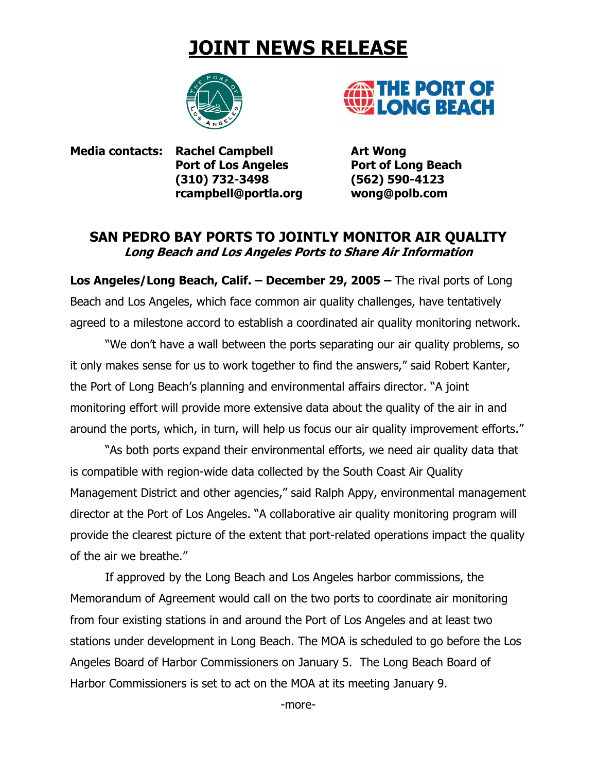## **JOINT NEWS RELEASE**





**Media contacts: Rachel Campbell Media Contacts: Rachel Campbell Art Wong Port of Los Angeles Port of Long Beach (310) 732-3498 (562) 590-4123 rcampbell@portla.org wong@polb.com**

## **SAN PEDRO BAY PORTS TO JOINTLY MONITOR AIR QUALITY Long Beach and Los Angeles Ports to Share Air Information**

**Los Angeles/Long Beach, Calif. – December 29, 2005 –** The rival ports of Long Beach and Los Angeles, which face common air quality challenges, have tentatively agreed to a milestone accord to establish a coordinated air quality monitoring network.

"We don't have a wall between the ports separating our air quality problems, so it only makes sense for us to work together to find the answers," said Robert Kanter, the Port of Long Beach's planning and environmental affairs director. "A joint monitoring effort will provide more extensive data about the quality of the air in and around the ports, which, in turn, will help us focus our air quality improvement efforts."

"As both ports expand their environmental efforts, we need air quality data that is compatible with region-wide data collected by the South Coast Air Quality Management District and other agencies," said Ralph Appy, environmental management director at the Port of Los Angeles. "A collaborative air quality monitoring program will provide the clearest picture of the extent that port-related operations impact the quality of the air we breathe."

If approved by the Long Beach and Los Angeles harbor commissions, the Memorandum of Agreement would call on the two ports to coordinate air monitoring from four existing stations in and around the Port of Los Angeles and at least two stations under development in Long Beach. The MOA is scheduled to go before the Los Angeles Board of Harbor Commissioners on January 5. The Long Beach Board of Harbor Commissioners is set to act on the MOA at its meeting January 9.

-more-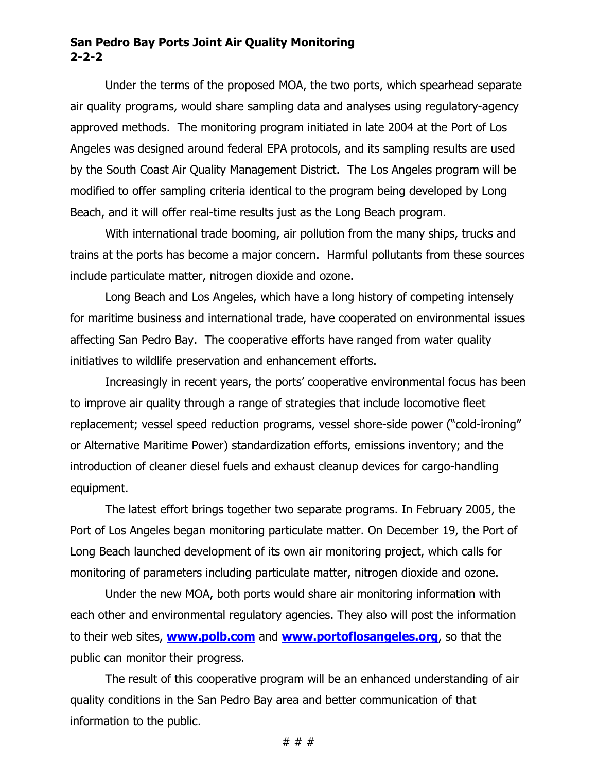## **San Pedro Bay Ports Joint Air Quality Monitoring 2-2-2**

Under the terms of the proposed MOA, the two ports, which spearhead separate air quality programs, would share sampling data and analyses using regulatory-agency approved methods. The monitoring program initiated in late 2004 at the Port of Los Angeles was designed around federal EPA protocols, and its sampling results are used by the South Coast Air Quality Management District. The Los Angeles program will be modified to offer sampling criteria identical to the program being developed by Long Beach, and it will offer real-time results just as the Long Beach program.

With international trade booming, air pollution from the many ships, trucks and trains at the ports has become a major concern. Harmful pollutants from these sources include particulate matter, nitrogen dioxide and ozone.

Long Beach and Los Angeles, which have a long history of competing intensely for maritime business and international trade, have cooperated on environmental issues affecting San Pedro Bay. The cooperative efforts have ranged from water quality initiatives to wildlife preservation and enhancement efforts.

Increasingly in recent years, the ports' cooperative environmental focus has been to improve air quality through a range of strategies that include locomotive fleet replacement; vessel speed reduction programs, vessel shore-side power ("cold-ironing" or Alternative Maritime Power) standardization efforts, emissions inventory; and the introduction of cleaner diesel fuels and exhaust cleanup devices for cargo-handling equipment.

The latest effort brings together two separate programs. In February 2005, the Port of Los Angeles began monitoring particulate matter. On December 19, the Port of Long Beach launched development of its own air monitoring project, which calls for monitoring of parameters including particulate matter, nitrogen dioxide and ozone.

Under the new MOA, both ports would share air monitoring information with each other and environmental regulatory agencies. They also will post the information to their web sites, **www.polb.com** and **www.portoflosangeles.org**, so that the public can monitor their progress.

The result of this cooperative program will be an enhanced understanding of air quality conditions in the San Pedro Bay area and better communication of that information to the public.